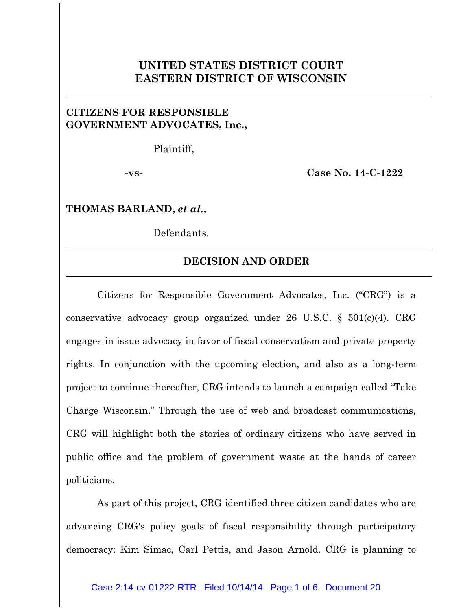## **UNITED STATES DISTRICT COURT EASTERN DISTRICT OF WISCONSIN**

## **CITIZENS FOR RESPONSIBLE GOVERNMENT ADVOCATES, Inc.,**

Plaintiff,

**-vs- Case No. 14-C-1222**

**THOMAS BARLAND,** *et al.***,**

Defendants.

## **DECISION AND ORDER**

Citizens for Responsible Government Advocates, Inc. ("CRG") is a conservative advocacy group organized under 26 U.S.C. § 501(c)(4). CRG engages in issue advocacy in favor of fiscal conservatism and private property rights. In conjunction with the upcoming election, and also as a long-term project to continue thereafter, CRG intends to launch a campaign called "Take Charge Wisconsin." Through the use of web and broadcast communications, CRG will highlight both the stories of ordinary citizens who have served in public office and the problem of government waste at the hands of career politicians.

As part of this project, CRG identified three citizen candidates who are advancing CRG's policy goals of fiscal responsibility through participatory democracy: Kim Simac, Carl Pettis, and Jason Arnold. CRG is planning to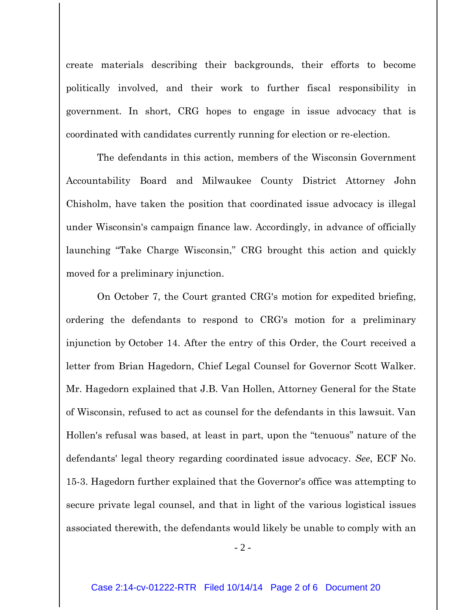create materials describing their backgrounds, their efforts to become politically involved, and their work to further fiscal responsibility in government. In short, CRG hopes to engage in issue advocacy that is coordinated with candidates currently running for election or re-election.

The defendants in this action, members of the Wisconsin Government Accountability Board and Milwaukee County District Attorney John Chisholm, have taken the position that coordinated issue advocacy is illegal under Wisconsin's campaign finance law. Accordingly, in advance of officially launching "Take Charge Wisconsin," CRG brought this action and quickly moved for a preliminary injunction.

On October 7, the Court granted CRG's motion for expedited briefing, ordering the defendants to respond to CRG's motion for a preliminary injunction by October 14. After the entry of this Order, the Court received a letter from Brian Hagedorn, Chief Legal Counsel for Governor Scott Walker. Mr. Hagedorn explained that J.B. Van Hollen, Attorney General for the State of Wisconsin, refused to act as counsel for the defendants in this lawsuit. Van Hollen's refusal was based, at least in part, upon the "tenuous" nature of the defendants' legal theory regarding coordinated issue advocacy. *See*, ECF No. 15-3. Hagedorn further explained that the Governor's office was attempting to secure private legal counsel, and that in light of the various logistical issues associated therewith, the defendants would likely be unable to comply with an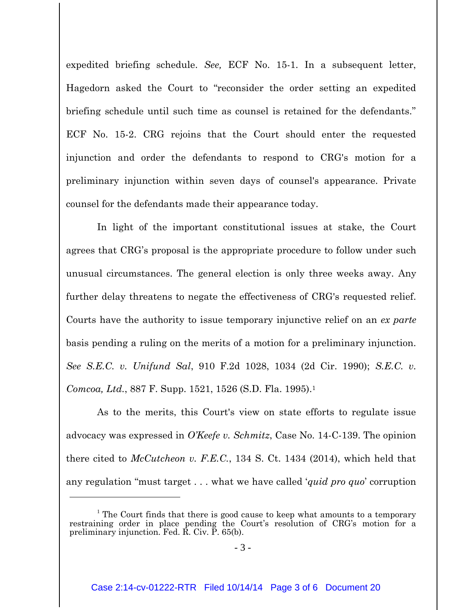expedited briefing schedule. *See,* ECF No. 15-1. In a subsequent letter, Hagedorn asked the Court to "reconsider the order setting an expedited briefing schedule until such time as counsel is retained for the defendants." ECF No. 15-2. CRG rejoins that the Court should enter the requested injunction and order the defendants to respond to CRG's motion for a preliminary injunction within seven days of counsel's appearance. Private counsel for the defendants made their appearance today.

In light of the important constitutional issues at stake, the Court agrees that CRG's proposal is the appropriate procedure to follow under such unusual circumstances. The general election is only three weeks away. Any further delay threatens to negate the effectiveness of CRG's requested relief. Courts have the authority to issue temporary injunctive relief on an *ex parte* basis pending a ruling on the merits of a motion for a preliminary injunction. *See S.E.C. v. Unifund Sal*, 910 F.2d 1028, 1034 (2d Cir. 1990); *S.E.C. v. Comcoa, Ltd.*, 887 F. Supp. 1521, 1526 (S.D. Fla. 1995).<sup>1</sup>

As to the merits, this Court's view on state efforts to regulate issue advocacy was expressed in *O'Keefe v. Schmitz*, Case No. 14-C-139. The opinion there cited to *McCutcheon v. F.E.C.*, 134 S. Ct. 1434 (2014), which held that any regulation "must target . . . what we have called '*quid pro quo*' corruption

 $\overline{a}$ 

 $1$  The Court finds that there is good cause to keep what amounts to a temporary restraining order in place pending the Court's resolution of CRG's motion for a preliminary injunction. Fed.  $\vec{R}$ . Civ.  $\vec{P}$ . 65(b).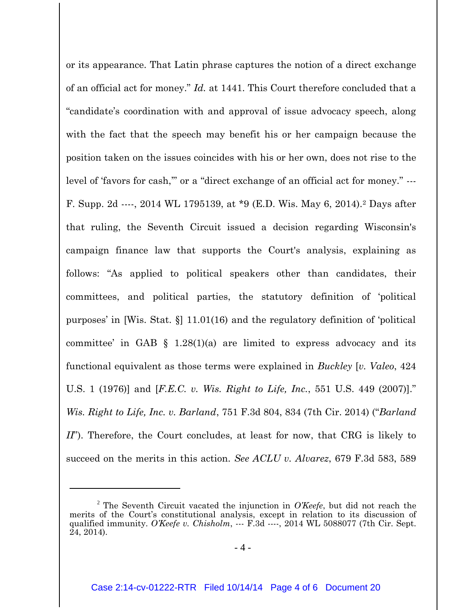or its appearance. That Latin phrase captures the notion of a direct exchange of an official act for money." *Id.* at 1441. This Court therefore concluded that a "candidate's coordination with and approval of issue advocacy speech, along with the fact that the speech may benefit his or her campaign because the position taken on the issues coincides with his or her own, does not rise to the level of 'favors for cash," or a "direct exchange of an official act for money." ---F. Supp. 2d ----, 2014 WL 1795139, at \*9 (E.D. Wis. May 6, 2014).<sup>2</sup> Days after that ruling, the Seventh Circuit issued a decision regarding Wisconsin's campaign finance law that supports the Court's analysis, explaining as follows: "As applied to political speakers other than candidates, their committees, and political parties, the statutory definition of 'political purposes' in [Wis. Stat. §] 11.01(16) and the regulatory definition of 'political committee' in GAB  $\S$  1.28(1)(a) are limited to express advocacy and its functional equivalent as those terms were explained in *Buckley* [*v. Valeo*, 424 U.S. 1 (1976)] and [*F.E.C. v. Wis. Right to Life, Inc.*, 551 U.S. 449 (2007)]." *Wis. Right to Life, Inc. v. Barland*, 751 F.3d 804, 834 (7th Cir. 2014) ("*Barland II*"). Therefore, the Court concludes, at least for now, that CRG is likely to succeed on the merits in this action. *See ACLU v. Alvarez*, 679 F.3d 583, 589

 $\overline{a}$ 

<sup>2</sup> The Seventh Circuit vacated the injunction in *O'Keefe*, but did not reach the merits of the Court's constitutional analysis, except in relation to its discussion of qualified immunity. *O'Keefe v. Chisholm*, --- F.3d ----, 2014 WL 5088077 (7th Cir. Sept. 24, 2014).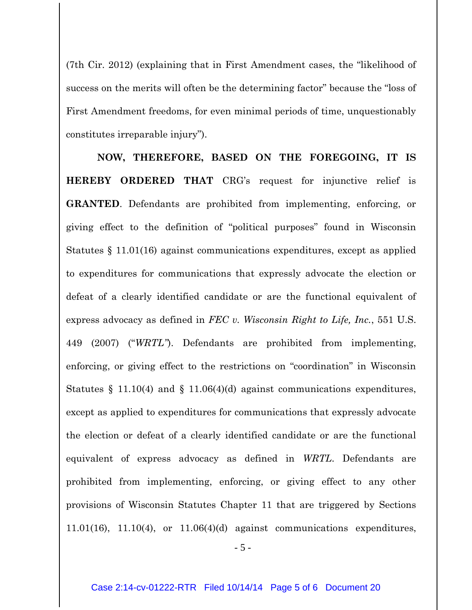(7th Cir. 2012) (explaining that in First Amendment cases, the "likelihood of success on the merits will often be the determining factor" because the "loss of First Amendment freedoms, for even minimal periods of time, unquestionably constitutes irreparable injury").

**NOW, THEREFORE, BASED ON THE FOREGOING, IT IS HEREBY ORDERED THAT** CRG's request for injunctive relief is **GRANTED**. Defendants are prohibited from implementing, enforcing, or giving effect to the definition of "political purposes" found in Wisconsin Statutes § 11.01(16) against communications expenditures, except as applied to expenditures for communications that expressly advocate the election or defeat of a clearly identified candidate or are the functional equivalent of express advocacy as defined in *FEC v. Wisconsin Right to Life, Inc.*, 551 U.S. 449 (2007) ("*WRTL"*). Defendants are prohibited from implementing, enforcing, or giving effect to the restrictions on "coordination" in Wisconsin Statutes  $\S$  11.10(4) and  $\S$  11.06(4)(d) against communications expenditures, except as applied to expenditures for communications that expressly advocate the election or defeat of a clearly identified candidate or are the functional equivalent of express advocacy as defined in *WRTL*. Defendants are prohibited from implementing, enforcing, or giving effect to any other provisions of Wisconsin Statutes Chapter 11 that are triggered by Sections  $11.01(16)$ ,  $11.10(4)$ , or  $11.06(4)(d)$  against communications expenditures,

- 5 -